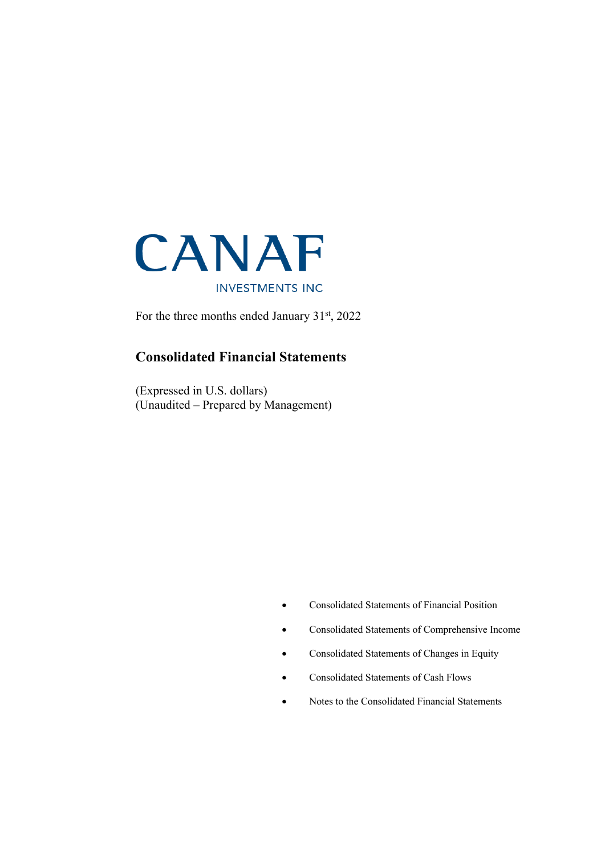

For the three months ended January 31st, 2022

### **Consolidated Financial Statements**

(Expressed in U.S. dollars) (Unaudited – Prepared by Management)

- Consolidated Statements of Financial Position
- Consolidated Statements of Comprehensive Income
- Consolidated Statements of Changes in Equity
- Consolidated Statements of Cash Flows
- Notes to the Consolidated Financial Statements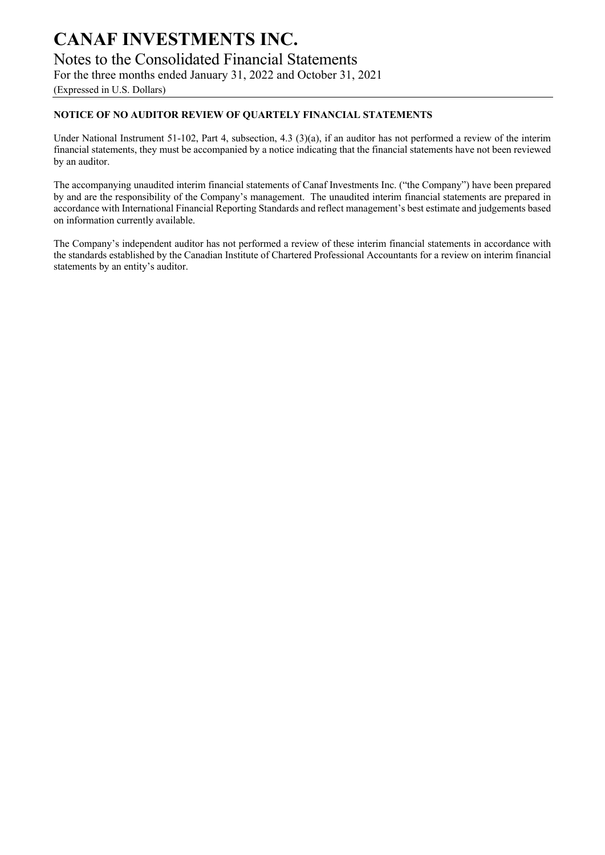Notes to the Consolidated Financial Statements

For the three months ended January 31, 2022 and October 31, 2021

(Expressed in U.S. Dollars)

### **NOTICE OF NO AUDITOR REVIEW OF QUARTELY FINANCIAL STATEMENTS**

Under National Instrument 51-102, Part 4, subsection, 4.3 (3)(a), if an auditor has not performed a review of the interim financial statements, they must be accompanied by a notice indicating that the financial statements have not been reviewed by an auditor.

The accompanying unaudited interim financial statements of Canaf Investments Inc. ("the Company") have been prepared by and are the responsibility of the Company's management. The unaudited interim financial statements are prepared in accordance with International Financial Reporting Standards and reflect management's best estimate and judgements based on information currently available.

The Company's independent auditor has not performed a review of these interim financial statements in accordance with the standards established by the Canadian Institute of Chartered Professional Accountants for a review on interim financial statements by an entity's auditor.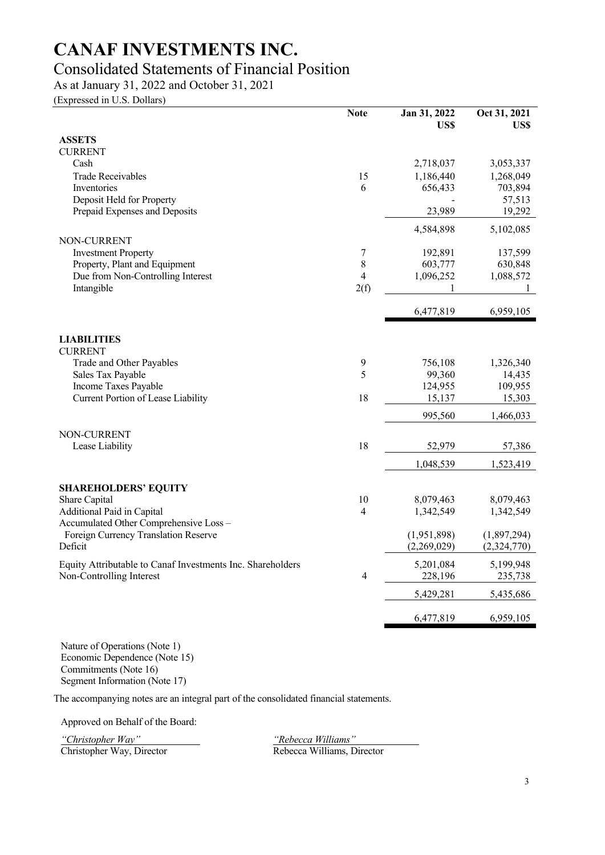### Consolidated Statements of Financial Position

As at January 31, 2022 and October 31, 2021

(Expressed in U.S. Dollars)

|                                                             | <b>Note</b>    | Jan 31, 2022<br>US\$   | Oct 31, 2021<br>US\$   |
|-------------------------------------------------------------|----------------|------------------------|------------------------|
| <b>ASSETS</b>                                               |                |                        |                        |
| <b>CURRENT</b><br>Cash                                      |                | 2,718,037              | 3,053,337              |
| <b>Trade Receivables</b>                                    | 15             | 1,186,440              | 1,268,049              |
| Inventories                                                 | 6              | 656,433                | 703,894                |
| Deposit Held for Property                                   |                |                        | 57,513                 |
| Prepaid Expenses and Deposits                               |                | 23,989                 | 19,292                 |
|                                                             |                | 4,584,898              | 5,102,085              |
| NON-CURRENT                                                 |                |                        |                        |
| <b>Investment Property</b><br>Property, Plant and Equipment | 7<br>8         | 192,891<br>603,777     | 137,599<br>630,848     |
| Due from Non-Controlling Interest                           | $\overline{4}$ | 1,096,252              | 1,088,572              |
| Intangible                                                  | 2(f)           | 1                      | 1                      |
|                                                             |                | 6,477,819              | 6,959,105              |
|                                                             |                |                        |                        |
| <b>LIABILITIES</b>                                          |                |                        |                        |
| <b>CURRENT</b><br>Trade and Other Payables                  | 9              | 756,108                | 1,326,340              |
| Sales Tax Payable                                           | 5              | 99,360                 | 14,435                 |
| Income Taxes Payable                                        |                | 124,955                | 109,955                |
| Current Portion of Lease Liability                          | 18             | 15,137                 | 15,303                 |
|                                                             |                | 995,560                | 1,466,033              |
| NON-CURRENT                                                 |                |                        |                        |
| Lease Liability                                             | 18             | 52,979                 | 57,386                 |
|                                                             |                | 1,048,539              | 1,523,419              |
|                                                             |                |                        |                        |
| <b>SHAREHOLDERS' EQUITY</b>                                 | 10             |                        |                        |
| Share Capital<br>Additional Paid in Capital                 | 4              | 8,079,463<br>1,342,549 | 8,079,463<br>1,342,549 |
| Accumulated Other Comprehensive Loss -                      |                |                        |                        |
| Foreign Currency Translation Reserve                        |                | (1,951,898)            | (1,897,294)            |
| Deficit                                                     |                | (2,269,029)            | (2,324,770)            |
| Equity Attributable to Canaf Investments Inc. Shareholders  |                | 5,201,084              | 5,199,948              |
| Non-Controlling Interest                                    | $\overline{4}$ | 228,196                | 235,738                |
|                                                             |                | 5,429,281              | 5,435,686              |
|                                                             |                | 6,477,819              | 6,959,105              |

Nature of Operations (Note 1) Economic Dependence (Note 15) Commitments (Note 16) Segment Information (Note 17)

The accompanying notes are an integral part of the consolidated financial statements.

Approved on Behalf of the Board:

*"Christopher Way" "Rebecca Williams"*

Christopher Way, Director Rebecca Williams, Director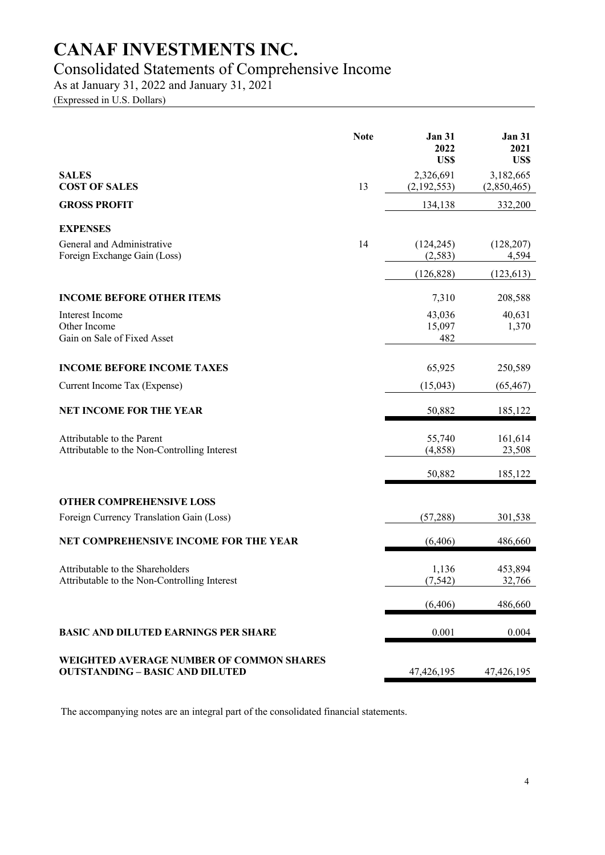### Consolidated Statements of Comprehensive Income

As at January 31, 2022 and January 31, 2021

(Expressed in U.S. Dollars)

|                                                                                    | <b>Note</b> | <b>Jan 31</b><br>2022<br>US\$ | <b>Jan 31</b><br>2021<br>US\$ |
|------------------------------------------------------------------------------------|-------------|-------------------------------|-------------------------------|
| <b>SALES</b><br><b>COST OF SALES</b>                                               | 13          | 2,326,691<br>(2,192,553)      | 3,182,665<br>(2,850,465)      |
| <b>GROSS PROFIT</b>                                                                |             | 134,138                       | 332,200                       |
| <b>EXPENSES</b>                                                                    |             |                               |                               |
| General and Administrative<br>Foreign Exchange Gain (Loss)                         | 14          | (124, 245)<br>(2,583)         | (128, 207)<br>4,594           |
|                                                                                    |             | (126, 828)                    | (123, 613)                    |
| <b>INCOME BEFORE OTHER ITEMS</b>                                                   |             | 7,310                         | 208,588                       |
| Interest Income<br>Other Income<br>Gain on Sale of Fixed Asset                     |             | 43,036<br>15,097<br>482       | 40,631<br>1,370               |
| <b>INCOME BEFORE INCOME TAXES</b>                                                  |             | 65,925                        | 250,589                       |
| Current Income Tax (Expense)                                                       |             | (15,043)                      | (65, 467)                     |
| <b>NET INCOME FOR THE YEAR</b>                                                     |             | 50,882                        | 185,122                       |
| Attributable to the Parent<br>Attributable to the Non-Controlling Interest         |             | 55,740<br>(4,858)             | 161,614<br>23,508             |
|                                                                                    |             | 50,882                        | 185,122                       |
| <b>OTHER COMPREHENSIVE LOSS</b>                                                    |             |                               |                               |
| Foreign Currency Translation Gain (Loss)                                           |             | (57, 288)                     | 301,538                       |
| NET COMPREHENSIVE INCOME FOR THE YEAR                                              |             | (6, 406)                      | 486,660                       |
| Attributable to the Shareholders<br>Attributable to the Non-Controlling Interest   |             | 1,136<br>(7, 542)             | 453,894<br>32,766             |
|                                                                                    |             | (6, 406)                      | 486,660                       |
| <b>BASIC AND DILUTED EARNINGS PER SHARE</b>                                        |             | 0.001                         | 0.004                         |
| WEIGHTED AVERAGE NUMBER OF COMMON SHARES<br><b>OUTSTANDING - BASIC AND DILUTED</b> |             | 47,426,195                    | 47,426,195                    |

The accompanying notes are an integral part of the consolidated financial statements.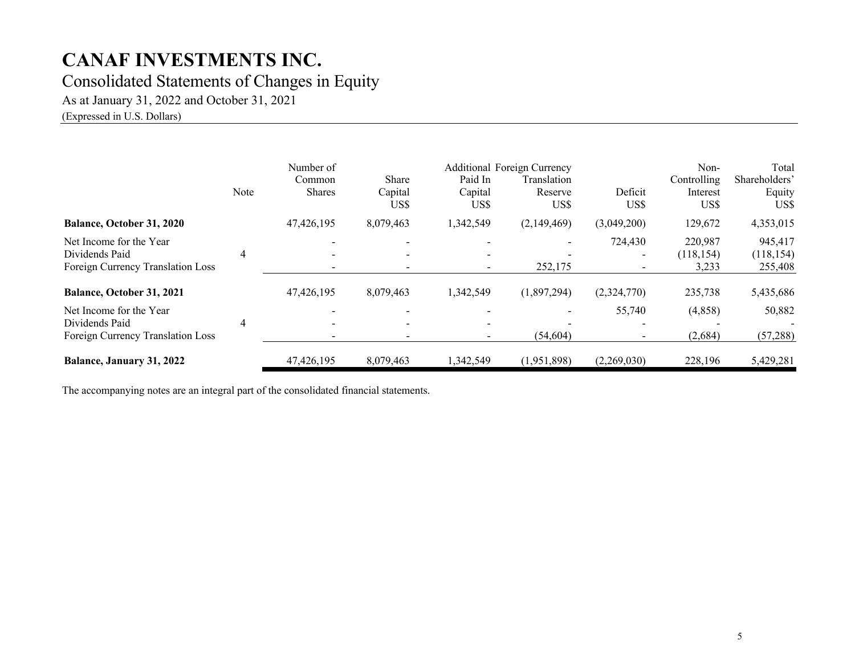### Consolidated Statements of Changes in Equity

As at January 31, 2022 and October 31, 2021

(Expressed in U.S. Dollars)

|                                                                                | Note | Number of<br>Common<br><b>Shares</b> | Share<br>Capital<br>US\$ | Paid In<br>Capital<br>US\$ | <b>Additional Foreign Currency</b><br>Translation<br>Reserve<br>US\$ | Deficit<br>US\$ | Non-<br>Controlling<br>Interest<br>US\$ | Total<br>Shareholders'<br>Equity<br>US\$ |
|--------------------------------------------------------------------------------|------|--------------------------------------|--------------------------|----------------------------|----------------------------------------------------------------------|-----------------|-----------------------------------------|------------------------------------------|
| <b>Balance, October 31, 2020</b>                                               |      | 47,426,195                           | 8,079,463                | 1,342,549                  | (2,149,469)                                                          | (3,049,200)     | 129,672                                 | 4,353,015                                |
| Net Income for the Year<br>Dividends Paid<br>Foreign Currency Translation Loss | 4    |                                      |                          | $\sim$                     | 252,175                                                              | 724,430         | 220,987<br>(118, 154)<br>3,233          | 945,417<br>(118, 154)<br>255,408         |
| Balance, October 31, 2021                                                      |      | 47,426,195                           | 8,079,463                | 1,342,549                  | (1,897,294)                                                          | (2,324,770)     | 235,738                                 | 5,435,686                                |
| Net Income for the Year<br>Dividends Paid<br>Foreign Currency Translation Loss | 4    |                                      |                          | $\overline{\phantom{0}}$   | (54, 604)                                                            | 55,740          | (4,858)<br>(2,684)                      | 50,882<br>(57, 288)                      |
| Balance, January 31, 2022                                                      |      | 47,426,195                           | 8,079,463                | 1,342,549                  | (1,951,898)                                                          | (2,269,030)     | 228,196                                 | 5,429,281                                |

The accompanying notes are an integral part of the consolidated financial statements.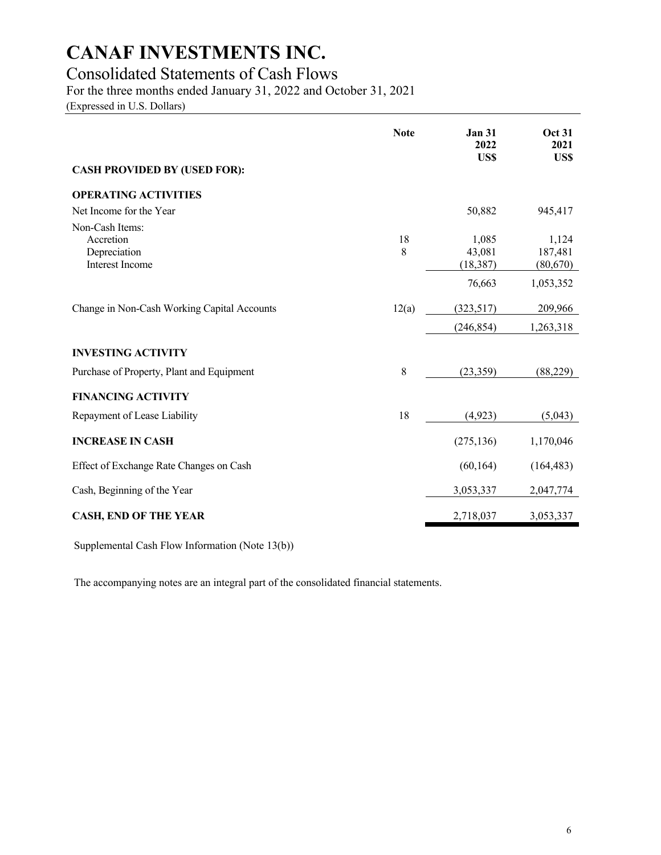### Consolidated Statements of Cash Flows

For the three months ended January 31, 2022 and October 31, 2021

(Expressed in U.S. Dollars)

|                                             | <b>Note</b> | <b>Jan 31</b><br>2022<br>US\$ | <b>Oct 31</b><br>2021<br>US\$ |
|---------------------------------------------|-------------|-------------------------------|-------------------------------|
| <b>CASH PROVIDED BY (USED FOR):</b>         |             |                               |                               |
| <b>OPERATING ACTIVITIES</b>                 |             |                               |                               |
| Net Income for the Year                     |             | 50,882                        | 945,417                       |
| Non-Cash Items:                             |             |                               |                               |
| Accretion                                   | 18          | 1,085                         | 1,124                         |
| Depreciation<br>Interest Income             | 8           | 43,081<br>(18, 387)           | 187,481<br>(80, 670)          |
|                                             |             | 76,663                        | 1,053,352                     |
| Change in Non-Cash Working Capital Accounts | 12(a)       | (323,517)                     | 209,966                       |
|                                             |             | (246, 854)                    | 1,263,318                     |
| <b>INVESTING ACTIVITY</b>                   |             |                               |                               |
| Purchase of Property, Plant and Equipment   | 8           | (23, 359)                     | (88, 229)                     |
| <b>FINANCING ACTIVITY</b>                   |             |                               |                               |
| Repayment of Lease Liability                | 18          | (4,923)                       | (5,043)                       |
| <b>INCREASE IN CASH</b>                     |             | (275, 136)                    | 1,170,046                     |
| Effect of Exchange Rate Changes on Cash     |             | (60, 164)                     | (164, 483)                    |
| Cash, Beginning of the Year                 |             | 3,053,337                     | 2,047,774                     |
| <b>CASH, END OF THE YEAR</b>                |             | 2,718,037                     | 3,053,337                     |

Supplemental Cash Flow Information (Note 13(b))

The accompanying notes are an integral part of the consolidated financial statements.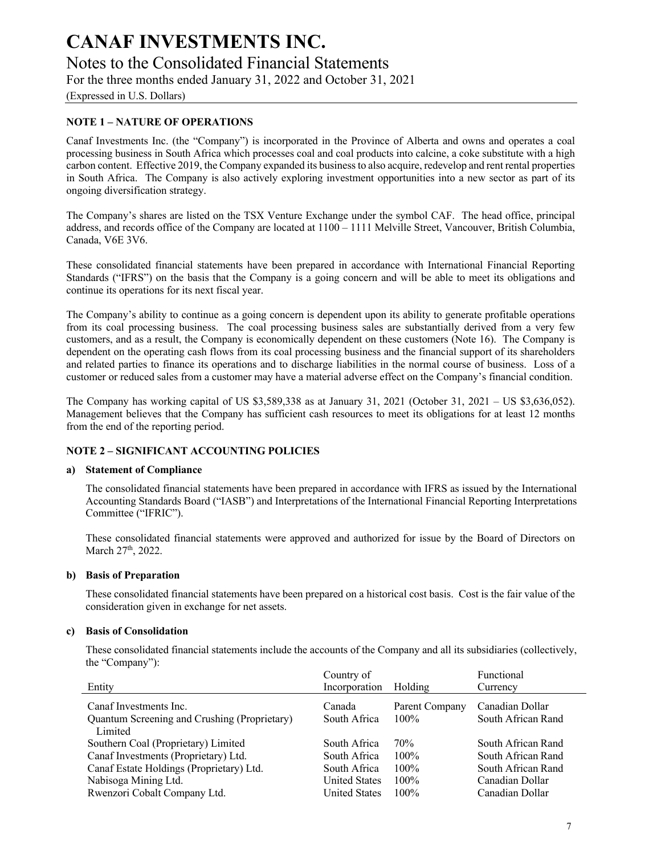Notes to the Consolidated Financial Statements

For the three months ended January 31, 2022 and October 31, 2021

(Expressed in U.S. Dollars)

#### **NOTE 1 – NATURE OF OPERATIONS**

Canaf Investments Inc. (the "Company") is incorporated in the Province of Alberta and owns and operates a coal processing business in South Africa which processes coal and coal products into calcine, a coke substitute with a high carbon content. Effective 2019, the Company expanded its business to also acquire, redevelop and rent rental properties in South Africa. The Company is also actively exploring investment opportunities into a new sector as part of its ongoing diversification strategy.

The Company's shares are listed on the TSX Venture Exchange under the symbol CAF. The head office, principal address, and records office of the Company are located at 1100 – 1111 Melville Street, Vancouver, British Columbia, Canada, V6E 3V6.

These consolidated financial statements have been prepared in accordance with International Financial Reporting Standards ("IFRS") on the basis that the Company is a going concern and will be able to meet its obligations and continue its operations for its next fiscal year.

The Company's ability to continue as a going concern is dependent upon its ability to generate profitable operations from its coal processing business. The coal processing business sales are substantially derived from a very few customers, and as a result, the Company is economically dependent on these customers (Note 16). The Company is dependent on the operating cash flows from its coal processing business and the financial support of its shareholders and related parties to finance its operations and to discharge liabilities in the normal course of business. Loss of a customer or reduced sales from a customer may have a material adverse effect on the Company's financial condition.

The Company has working capital of US \$3,589,338 as at January 31, 2021 (October 31, 2021 – US \$3,636,052). Management believes that the Company has sufficient cash resources to meet its obligations for at least 12 months from the end of the reporting period.

#### **NOTE 2 – SIGNIFICANT ACCOUNTING POLICIES**

#### **a) Statement of Compliance**

The consolidated financial statements have been prepared in accordance with IFRS as issued by the International Accounting Standards Board ("IASB") and Interpretations of the International Financial Reporting Interpretations Committee ("IFRIC").

These consolidated financial statements were approved and authorized for issue by the Board of Directors on March 27<sup>th</sup>, 2022.

#### **b) Basis of Preparation**

These consolidated financial statements have been prepared on a historical cost basis. Cost is the fair value of the consideration given in exchange for net assets.

#### **c) Basis of Consolidation**

These consolidated financial statements include the accounts of the Company and all its subsidiaries (collectively, the "Company"):

|                                              | Country of           |                | Functional         |
|----------------------------------------------|----------------------|----------------|--------------------|
| Entity                                       | Incorporation        | Holding        | Currency           |
| Canaf Investments Inc.                       | Canada               | Parent Company | Canadian Dollar    |
| Quantum Screening and Crushing (Proprietary) | South Africa         | 100%           | South African Rand |
| Limited                                      |                      |                |                    |
| Southern Coal (Proprietary) Limited          | South Africa         | 70%            | South African Rand |
| Canaf Investments (Proprietary) Ltd.         | South Africa         | $100\%$        | South African Rand |
| Canaf Estate Holdings (Proprietary) Ltd.     | South Africa         | $100\%$        | South African Rand |
| Nabisoga Mining Ltd.                         | <b>United States</b> | $100\%$        | Canadian Dollar    |
| Rwenzori Cobalt Company Ltd.                 | <b>United States</b> | $100\%$        | Canadian Dollar    |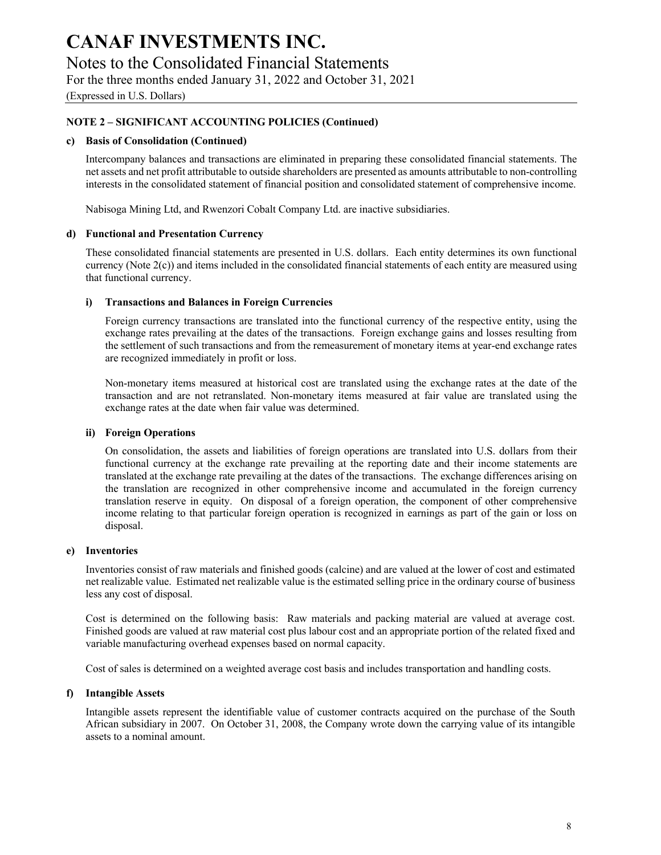Notes to the Consolidated Financial Statements

For the three months ended January 31, 2022 and October 31, 2021

(Expressed in U.S. Dollars)

#### **NOTE 2 – SIGNIFICANT ACCOUNTING POLICIES (Continued)**

#### **c) Basis of Consolidation (Continued)**

Intercompany balances and transactions are eliminated in preparing these consolidated financial statements. The net assets and net profit attributable to outside shareholders are presented as amounts attributable to non-controlling interests in the consolidated statement of financial position and consolidated statement of comprehensive income.

Nabisoga Mining Ltd, and Rwenzori Cobalt Company Ltd. are inactive subsidiaries.

#### **d) Functional and Presentation Currency**

These consolidated financial statements are presented in U.S. dollars. Each entity determines its own functional currency (Note 2(c)) and items included in the consolidated financial statements of each entity are measured using that functional currency.

#### **i) Transactions and Balances in Foreign Currencies**

Foreign currency transactions are translated into the functional currency of the respective entity, using the exchange rates prevailing at the dates of the transactions. Foreign exchange gains and losses resulting from the settlement of such transactions and from the remeasurement of monetary items at year-end exchange rates are recognized immediately in profit or loss.

Non-monetary items measured at historical cost are translated using the exchange rates at the date of the transaction and are not retranslated. Non-monetary items measured at fair value are translated using the exchange rates at the date when fair value was determined.

#### **ii) Foreign Operations**

On consolidation, the assets and liabilities of foreign operations are translated into U.S. dollars from their functional currency at the exchange rate prevailing at the reporting date and their income statements are translated at the exchange rate prevailing at the dates of the transactions. The exchange differences arising on the translation are recognized in other comprehensive income and accumulated in the foreign currency translation reserve in equity. On disposal of a foreign operation, the component of other comprehensive income relating to that particular foreign operation is recognized in earnings as part of the gain or loss on disposal.

#### **e) Inventories**

Inventories consist of raw materials and finished goods (calcine) and are valued at the lower of cost and estimated net realizable value. Estimated net realizable value is the estimated selling price in the ordinary course of business less any cost of disposal.

Cost is determined on the following basis: Raw materials and packing material are valued at average cost. Finished goods are valued at raw material cost plus labour cost and an appropriate portion of the related fixed and variable manufacturing overhead expenses based on normal capacity.

Cost of sales is determined on a weighted average cost basis and includes transportation and handling costs.

#### **f) Intangible Assets**

Intangible assets represent the identifiable value of customer contracts acquired on the purchase of the South African subsidiary in 2007. On October 31, 2008, the Company wrote down the carrying value of its intangible assets to a nominal amount.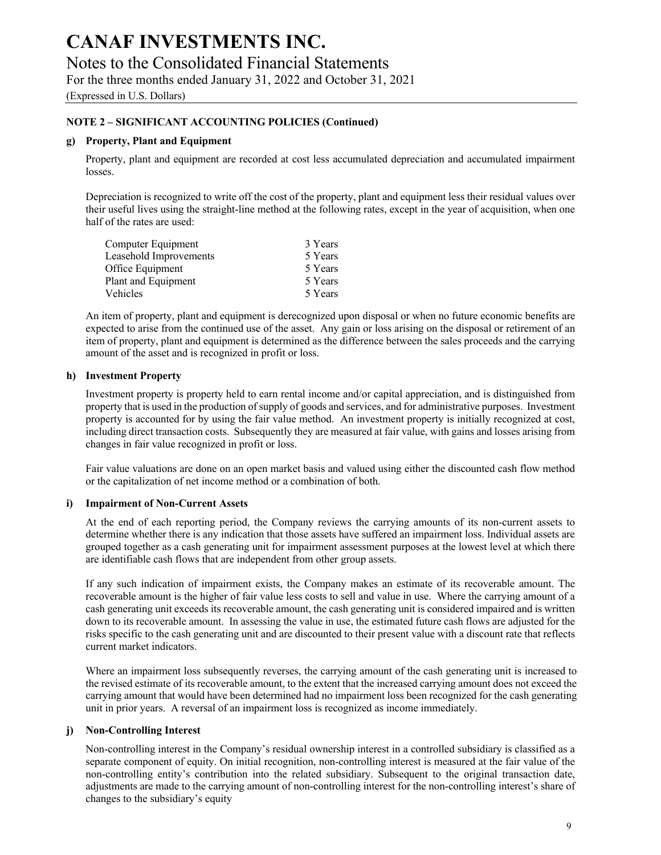Notes to the Consolidated Financial Statements

For the three months ended January 31, 2022 and October 31, 2021

(Expressed in U.S. Dollars)

#### **NOTE 2 – SIGNIFICANT ACCOUNTING POLICIES (Continued)**

#### **g) Property, Plant and Equipment**

Property, plant and equipment are recorded at cost less accumulated depreciation and accumulated impairment losses.

Depreciation is recognized to write off the cost of the property, plant and equipment less their residual values over their useful lives using the straight-line method at the following rates, except in the year of acquisition, when one half of the rates are used:

| Computer Equipment     | 3 Years |
|------------------------|---------|
| Leasehold Improvements | 5 Years |
| Office Equipment       | 5 Years |
| Plant and Equipment    | 5 Years |
| <b>Vehicles</b>        | 5 Years |

An item of property, plant and equipment is derecognized upon disposal or when no future economic benefits are expected to arise from the continued use of the asset. Any gain or loss arising on the disposal or retirement of an item of property, plant and equipment is determined as the difference between the sales proceeds and the carrying amount of the asset and is recognized in profit or loss.

#### **h) Investment Property**

Investment property is property held to earn rental income and/or capital appreciation, and is distinguished from property that is used in the production of supply of goods and services, and for administrative purposes. Investment property is accounted for by using the fair value method. An investment property is initially recognized at cost, including direct transaction costs. Subsequently they are measured at fair value, with gains and losses arising from changes in fair value recognized in profit or loss.

Fair value valuations are done on an open market basis and valued using either the discounted cash flow method or the capitalization of net income method or a combination of both.

#### **i) Impairment of Non-Current Assets**

At the end of each reporting period, the Company reviews the carrying amounts of its non-current assets to determine whether there is any indication that those assets have suffered an impairment loss. Individual assets are grouped together as a cash generating unit for impairment assessment purposes at the lowest level at which there are identifiable cash flows that are independent from other group assets.

If any such indication of impairment exists, the Company makes an estimate of its recoverable amount. The recoverable amount is the higher of fair value less costs to sell and value in use. Where the carrying amount of a cash generating unit exceeds its recoverable amount, the cash generating unit is considered impaired and is written down to its recoverable amount. In assessing the value in use, the estimated future cash flows are adjusted for the risks specific to the cash generating unit and are discounted to their present value with a discount rate that reflects current market indicators.

Where an impairment loss subsequently reverses, the carrying amount of the cash generating unit is increased to the revised estimate of its recoverable amount, to the extent that the increased carrying amount does not exceed the carrying amount that would have been determined had no impairment loss been recognized for the cash generating unit in prior years. A reversal of an impairment loss is recognized as income immediately.

#### **j) Non-Controlling Interest**

Non-controlling interest in the Company's residual ownership interest in a controlled subsidiary is classified as a separate component of equity. On initial recognition, non-controlling interest is measured at the fair value of the non-controlling entity's contribution into the related subsidiary. Subsequent to the original transaction date, adjustments are made to the carrying amount of non-controlling interest for the non-controlling interest's share of changes to the subsidiary's equity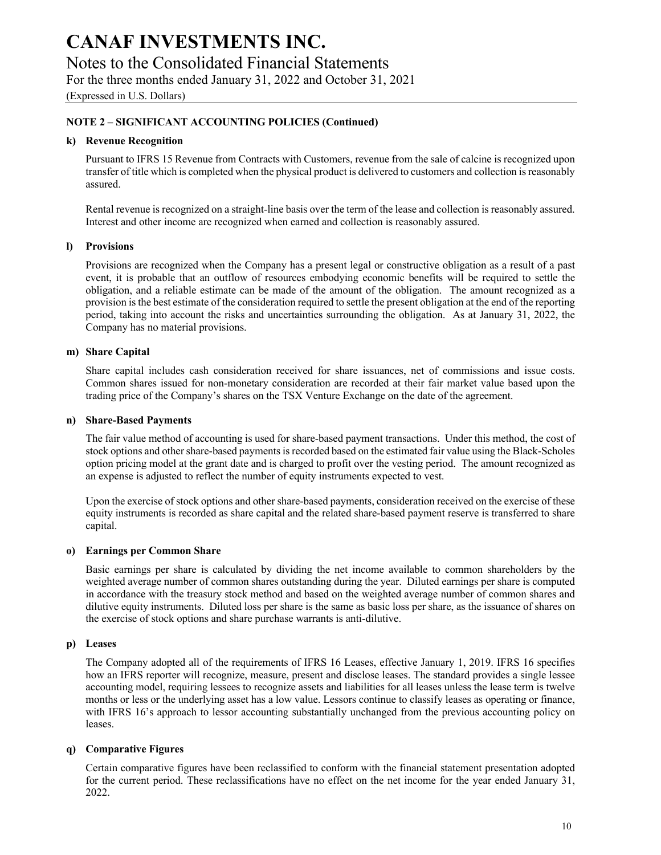Notes to the Consolidated Financial Statements

For the three months ended January 31, 2022 and October 31, 2021

(Expressed in U.S. Dollars)

#### **NOTE 2 – SIGNIFICANT ACCOUNTING POLICIES (Continued)**

#### **k) Revenue Recognition**

Pursuant to IFRS 15 Revenue from Contracts with Customers, revenue from the sale of calcine is recognized upon transfer of title which is completed when the physical product is delivered to customers and collection is reasonably assured.

Rental revenue is recognized on a straight-line basis over the term of the lease and collection is reasonably assured. Interest and other income are recognized when earned and collection is reasonably assured.

#### **l) Provisions**

Provisions are recognized when the Company has a present legal or constructive obligation as a result of a past event, it is probable that an outflow of resources embodying economic benefits will be required to settle the obligation, and a reliable estimate can be made of the amount of the obligation. The amount recognized as a provision is the best estimate of the consideration required to settle the present obligation at the end of the reporting period, taking into account the risks and uncertainties surrounding the obligation. As at January 31, 2022, the Company has no material provisions.

#### **m) Share Capital**

Share capital includes cash consideration received for share issuances, net of commissions and issue costs. Common shares issued for non-monetary consideration are recorded at their fair market value based upon the trading price of the Company's shares on the TSX Venture Exchange on the date of the agreement.

#### **n) Share-Based Payments**

The fair value method of accounting is used for share-based payment transactions. Under this method, the cost of stock options and other share-based payments is recorded based on the estimated fair value using the Black-Scholes option pricing model at the grant date and is charged to profit over the vesting period. The amount recognized as an expense is adjusted to reflect the number of equity instruments expected to vest.

Upon the exercise of stock options and other share-based payments, consideration received on the exercise of these equity instruments is recorded as share capital and the related share-based payment reserve is transferred to share capital.

#### **o) Earnings per Common Share**

Basic earnings per share is calculated by dividing the net income available to common shareholders by the weighted average number of common shares outstanding during the year. Diluted earnings per share is computed in accordance with the treasury stock method and based on the weighted average number of common shares and dilutive equity instruments. Diluted loss per share is the same as basic loss per share, as the issuance of shares on the exercise of stock options and share purchase warrants is anti-dilutive.

#### **p) Leases**

The Company adopted all of the requirements of IFRS 16 Leases, effective January 1, 2019. IFRS 16 specifies how an IFRS reporter will recognize, measure, present and disclose leases. The standard provides a single lessee accounting model, requiring lessees to recognize assets and liabilities for all leases unless the lease term is twelve months or less or the underlying asset has a low value. Lessors continue to classify leases as operating or finance, with IFRS 16's approach to lessor accounting substantially unchanged from the previous accounting policy on leases.

#### **q) Comparative Figures**

Certain comparative figures have been reclassified to conform with the financial statement presentation adopted for the current period. These reclassifications have no effect on the net income for the year ended January 31, 2022.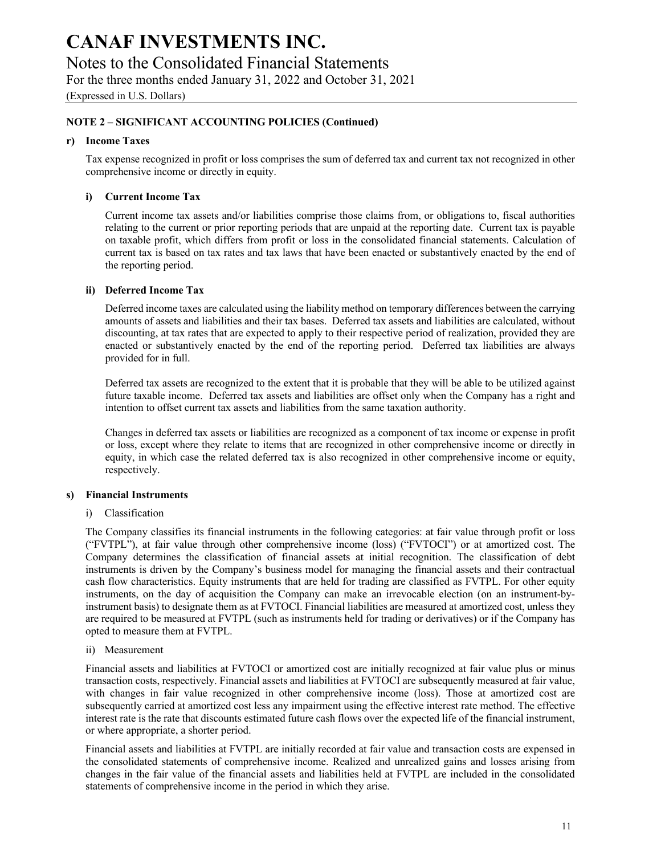Notes to the Consolidated Financial Statements

For the three months ended January 31, 2022 and October 31, 2021

(Expressed in U.S. Dollars)

#### **NOTE 2 – SIGNIFICANT ACCOUNTING POLICIES (Continued)**

#### **r) Income Taxes**

Tax expense recognized in profit or loss comprises the sum of deferred tax and current tax not recognized in other comprehensive income or directly in equity.

#### **i) Current Income Tax**

Current income tax assets and/or liabilities comprise those claims from, or obligations to, fiscal authorities relating to the current or prior reporting periods that are unpaid at the reporting date. Current tax is payable on taxable profit, which differs from profit or loss in the consolidated financial statements. Calculation of current tax is based on tax rates and tax laws that have been enacted or substantively enacted by the end of the reporting period.

#### **ii) Deferred Income Tax**

Deferred income taxes are calculated using the liability method on temporary differences between the carrying amounts of assets and liabilities and their tax bases. Deferred tax assets and liabilities are calculated, without discounting, at tax rates that are expected to apply to their respective period of realization, provided they are enacted or substantively enacted by the end of the reporting period. Deferred tax liabilities are always provided for in full.

Deferred tax assets are recognized to the extent that it is probable that they will be able to be utilized against future taxable income. Deferred tax assets and liabilities are offset only when the Company has a right and intention to offset current tax assets and liabilities from the same taxation authority.

Changes in deferred tax assets or liabilities are recognized as a component of tax income or expense in profit or loss, except where they relate to items that are recognized in other comprehensive income or directly in equity, in which case the related deferred tax is also recognized in other comprehensive income or equity, respectively.

#### **s) Financial Instruments**

#### i) Classification

The Company classifies its financial instruments in the following categories: at fair value through profit or loss ("FVTPL"), at fair value through other comprehensive income (loss) ("FVTOCI") or at amortized cost. The Company determines the classification of financial assets at initial recognition. The classification of debt instruments is driven by the Company's business model for managing the financial assets and their contractual cash flow characteristics. Equity instruments that are held for trading are classified as FVTPL. For other equity instruments, on the day of acquisition the Company can make an irrevocable election (on an instrument-byinstrument basis) to designate them as at FVTOCI. Financial liabilities are measured at amortized cost, unless they are required to be measured at FVTPL (such as instruments held for trading or derivatives) or if the Company has opted to measure them at FVTPL.

#### ii) Measurement

Financial assets and liabilities at FVTOCI or amortized cost are initially recognized at fair value plus or minus transaction costs, respectively. Financial assets and liabilities at FVTOCI are subsequently measured at fair value, with changes in fair value recognized in other comprehensive income (loss). Those at amortized cost are subsequently carried at amortized cost less any impairment using the effective interest rate method. The effective interest rate is the rate that discounts estimated future cash flows over the expected life of the financial instrument, or where appropriate, a shorter period.

Financial assets and liabilities at FVTPL are initially recorded at fair value and transaction costs are expensed in the consolidated statements of comprehensive income. Realized and unrealized gains and losses arising from changes in the fair value of the financial assets and liabilities held at FVTPL are included in the consolidated statements of comprehensive income in the period in which they arise.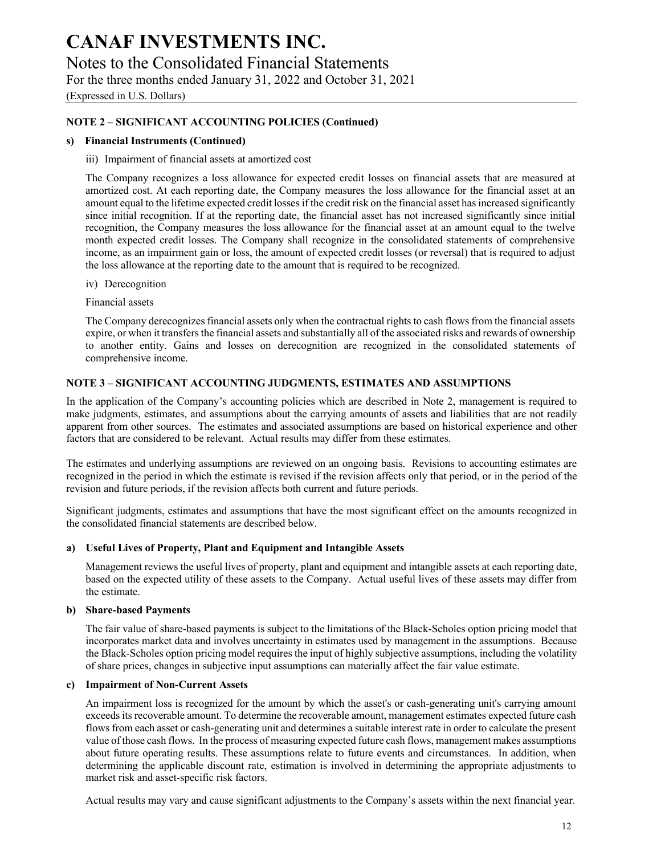Notes to the Consolidated Financial Statements

For the three months ended January 31, 2022 and October 31, 2021

(Expressed in U.S. Dollars)

#### **NOTE 2 – SIGNIFICANT ACCOUNTING POLICIES (Continued)**

#### **s) Financial Instruments (Continued)**

#### iii) Impairment of financial assets at amortized cost

The Company recognizes a loss allowance for expected credit losses on financial assets that are measured at amortized cost. At each reporting date, the Company measures the loss allowance for the financial asset at an amount equal to the lifetime expected credit losses if the credit risk on the financial asset has increased significantly since initial recognition. If at the reporting date, the financial asset has not increased significantly since initial recognition, the Company measures the loss allowance for the financial asset at an amount equal to the twelve month expected credit losses. The Company shall recognize in the consolidated statements of comprehensive income, as an impairment gain or loss, the amount of expected credit losses (or reversal) that is required to adjust the loss allowance at the reporting date to the amount that is required to be recognized.

#### iv) Derecognition

Financial assets

The Company derecognizes financial assets only when the contractual rights to cash flows from the financial assets expire, or when it transfers the financial assets and substantially all of the associated risks and rewards of ownership to another entity. Gains and losses on derecognition are recognized in the consolidated statements of comprehensive income.

#### **NOTE 3 – SIGNIFICANT ACCOUNTING JUDGMENTS, ESTIMATES AND ASSUMPTIONS**

In the application of the Company's accounting policies which are described in Note 2, management is required to make judgments, estimates, and assumptions about the carrying amounts of assets and liabilities that are not readily apparent from other sources. The estimates and associated assumptions are based on historical experience and other factors that are considered to be relevant. Actual results may differ from these estimates.

The estimates and underlying assumptions are reviewed on an ongoing basis. Revisions to accounting estimates are recognized in the period in which the estimate is revised if the revision affects only that period, or in the period of the revision and future periods, if the revision affects both current and future periods.

Significant judgments, estimates and assumptions that have the most significant effect on the amounts recognized in the consolidated financial statements are described below.

#### **a) Useful Lives of Property, Plant and Equipment and Intangible Assets**

Management reviews the useful lives of property, plant and equipment and intangible assets at each reporting date, based on the expected utility of these assets to the Company. Actual useful lives of these assets may differ from the estimate.

#### **b) Share-based Payments**

The fair value of share-based payments is subject to the limitations of the Black-Scholes option pricing model that incorporates market data and involves uncertainty in estimates used by management in the assumptions. Because the Black-Scholes option pricing model requires the input of highly subjective assumptions, including the volatility of share prices, changes in subjective input assumptions can materially affect the fair value estimate.

#### **c) Impairment of Non-Current Assets**

An impairment loss is recognized for the amount by which the asset's or cash-generating unit's carrying amount exceeds its recoverable amount. To determine the recoverable amount, management estimates expected future cash flows from each asset or cash-generating unit and determines a suitable interest rate in order to calculate the present value of those cash flows. In the process of measuring expected future cash flows, management makes assumptions about future operating results. These assumptions relate to future events and circumstances. In addition, when determining the applicable discount rate, estimation is involved in determining the appropriate adjustments to market risk and asset-specific risk factors.

Actual results may vary and cause significant adjustments to the Company's assets within the next financial year.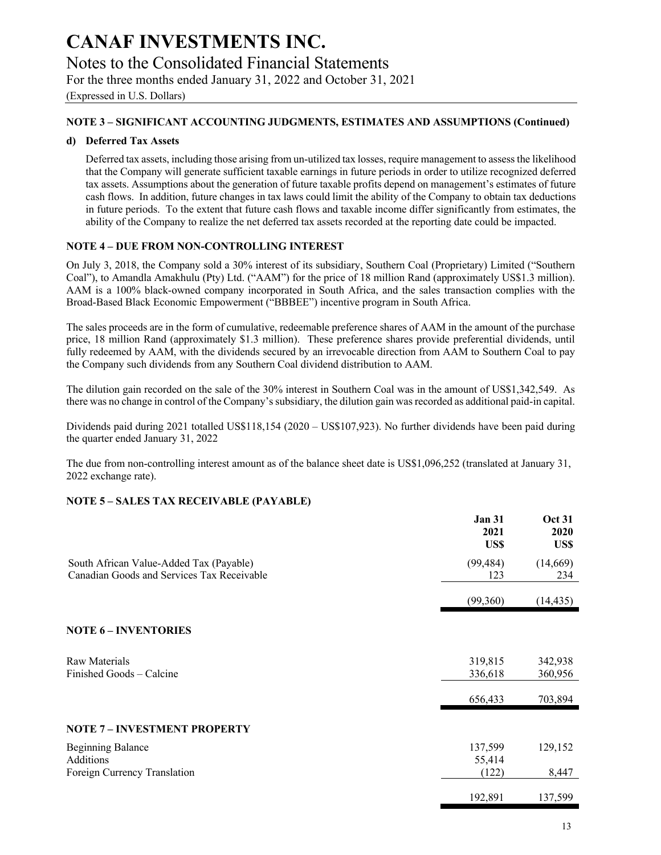Notes to the Consolidated Financial Statements

For the three months ended January 31, 2022 and October 31, 2021

(Expressed in U.S. Dollars)

#### **NOTE 3 – SIGNIFICANT ACCOUNTING JUDGMENTS, ESTIMATES AND ASSUMPTIONS (Continued)**

#### **d) Deferred Tax Assets**

Deferred tax assets, including those arising from un-utilized tax losses, require management to assess the likelihood that the Company will generate sufficient taxable earnings in future periods in order to utilize recognized deferred tax assets. Assumptions about the generation of future taxable profits depend on management's estimates of future cash flows. In addition, future changes in tax laws could limit the ability of the Company to obtain tax deductions in future periods. To the extent that future cash flows and taxable income differ significantly from estimates, the ability of the Company to realize the net deferred tax assets recorded at the reporting date could be impacted.

#### **NOTE 4 – DUE FROM NON-CONTROLLING INTEREST**

On July 3, 2018, the Company sold a 30% interest of its subsidiary, Southern Coal (Proprietary) Limited ("Southern Coal"), to Amandla Amakhulu (Pty) Ltd. ("AAM") for the price of 18 million Rand (approximately US\$1.3 million). AAM is a 100% black-owned company incorporated in South Africa, and the sales transaction complies with the Broad-Based Black Economic Empowerment ("BBBEE") incentive program in South Africa.

The sales proceeds are in the form of cumulative, redeemable preference shares of AAM in the amount of the purchase price, 18 million Rand (approximately \$1.3 million). These preference shares provide preferential dividends, until fully redeemed by AAM, with the dividends secured by an irrevocable direction from AAM to Southern Coal to pay the Company such dividends from any Southern Coal dividend distribution to AAM.

The dilution gain recorded on the sale of the 30% interest in Southern Coal was in the amount of US\$1,342,549. As there was no change in control of the Company's subsidiary, the dilution gain was recorded as additional paid-in capital.

Dividends paid during 2021 totalled US\$118,154 (2020 – US\$107,923). No further dividends have been paid during the quarter ended January 31, 2022

The due from non-controlling interest amount as of the balance sheet date is US\$1,096,252 (translated at January 31, 2022 exchange rate).

#### **NOTE 5 – SALES TAX RECEIVABLE (PAYABLE)**

|                                                                                       | <b>Jan 31</b><br>2021<br>US\$ | <b>Oct 31</b><br>2020<br>US\$ |
|---------------------------------------------------------------------------------------|-------------------------------|-------------------------------|
| South African Value-Added Tax (Payable)<br>Canadian Goods and Services Tax Receivable | (99, 484)<br>123              | (14,669)<br>234               |
|                                                                                       | (99,360)                      | (14, 435)                     |
| <b>NOTE 6 - INVENTORIES</b>                                                           |                               |                               |
| Raw Materials<br>Finished Goods – Calcine                                             | 319,815<br>336,618            | 342,938<br>360,956            |
|                                                                                       | 656,433                       | 703,894                       |
| <b>NOTE 7 - INVESTMENT PROPERTY</b>                                                   |                               |                               |
| <b>Beginning Balance</b><br>Additions                                                 | 137,599<br>55,414             | 129,152                       |
| Foreign Currency Translation                                                          | (122)                         | 8,447                         |
|                                                                                       | 192,891                       | 137,599                       |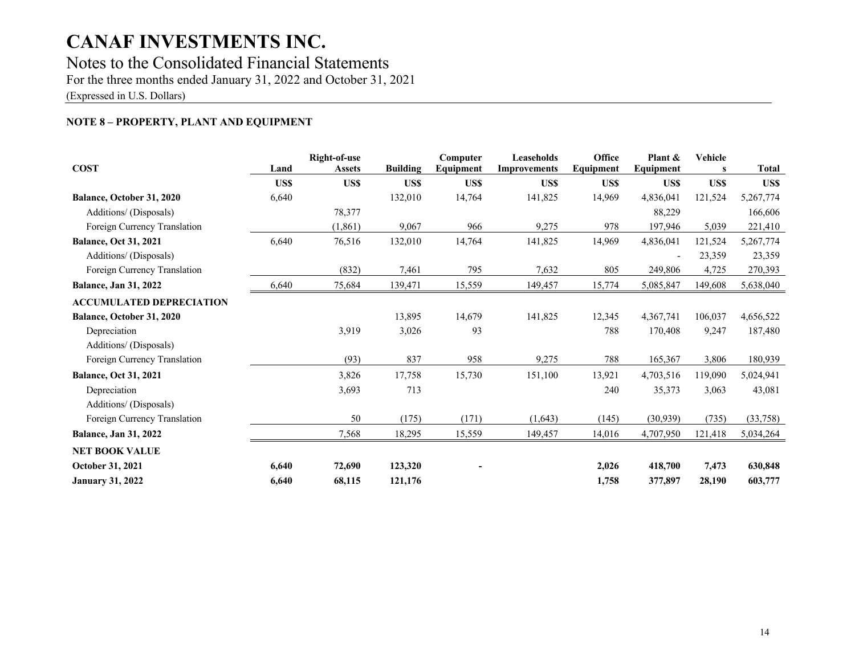### Notes to the Consolidated Financial Statements

For the three months ended January 31, 2022 and October 31, 2021

(Expressed in U.S. Dollars)

### **NOTE 8 – PROPERTY, PLANT AND EQUIPMENT**

| <b>COST</b>                     | Land  | Right-of-use  |                 | Computer  | Leaseholds          | Office    | Plant &   | <b>Vehicle</b> |              |
|---------------------------------|-------|---------------|-----------------|-----------|---------------------|-----------|-----------|----------------|--------------|
|                                 |       | <b>Assets</b> | <b>Building</b> | Equipment | <b>Improvements</b> | Equipment | Equipment | s              | <b>Total</b> |
|                                 | US\$  | US\$          | US\$            | US\$      | US\$                | US\$      | US\$      | US\$           | US\$         |
| Balance, October 31, 2020       | 6,640 |               | 132,010         | 14,764    | 141,825             | 14,969    | 4,836,041 | 121,524        | 5,267,774    |
| Additions/ (Disposals)          |       | 78,377        |                 |           |                     |           | 88,229    |                | 166,606      |
| Foreign Currency Translation    |       | (1,861)       | 9,067           | 966       | 9,275               | 978       | 197,946   | 5,039          | 221,410      |
| <b>Balance, Oct 31, 2021</b>    | 6,640 | 76,516        | 132,010         | 14,764    | 141,825             | 14,969    | 4,836,041 | 121,524        | 5,267,774    |
| Additions/ (Disposals)          |       |               |                 |           |                     |           |           | 23,359         | 23,359       |
| Foreign Currency Translation    |       | (832)         | 7,461           | 795       | 7,632               | 805       | 249,806   | 4,725          | 270,393      |
| <b>Balance, Jan 31, 2022</b>    | 6,640 | 75,684        | 139,471         | 15,559    | 149,457             | 15,774    | 5,085,847 | 149,608        | 5,638,040    |
| <b>ACCUMULATED DEPRECIATION</b> |       |               |                 |           |                     |           |           |                |              |
| Balance, October 31, 2020       |       |               | 13,895          | 14,679    | 141,825             | 12,345    | 4,367,741 | 106,037        | 4,656,522    |
| Depreciation                    |       | 3,919         | 3,026           | 93        |                     | 788       | 170,408   | 9,247          | 187,480      |
| Additions/ (Disposals)          |       |               |                 |           |                     |           |           |                |              |
| Foreign Currency Translation    |       | (93)          | 837             | 958       | 9,275               | 788       | 165,367   | 3,806          | 180,939      |
| <b>Balance, Oct 31, 2021</b>    |       | 3,826         | 17,758          | 15,730    | 151,100             | 13,921    | 4,703,516 | 119,090        | 5,024,941    |
| Depreciation                    |       | 3,693         | 713             |           |                     | 240       | 35,373    | 3,063          | 43,081       |
| Additions/ (Disposals)          |       |               |                 |           |                     |           |           |                |              |
| Foreign Currency Translation    |       | 50            | (175)           | (171)     | (1,643)             | (145)     | (30, 939) | (735)          | (33,758)     |
| <b>Balance, Jan 31, 2022</b>    |       | 7,568         | 18,295          | 15,559    | 149,457             | 14,016    | 4,707,950 | 121,418        | 5,034,264    |
| <b>NET BOOK VALUE</b>           |       |               |                 |           |                     |           |           |                |              |
| <b>October 31, 2021</b>         | 6,640 | 72,690        | 123,320         |           |                     | 2,026     | 418,700   | 7,473          | 630,848      |
| <b>January 31, 2022</b>         | 6,640 | 68,115        | 121,176         |           |                     | 1,758     | 377,897   | 28,190         | 603,777      |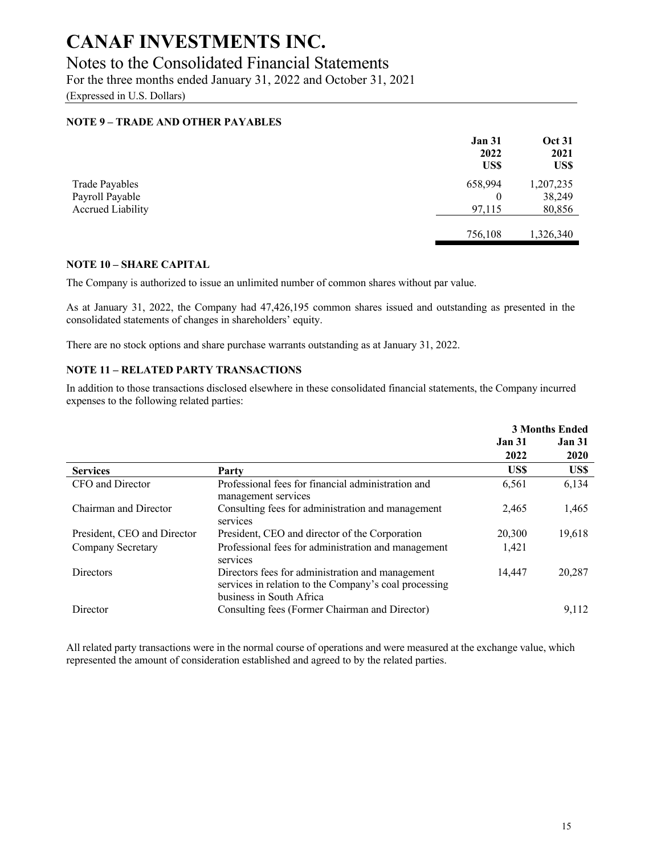### Notes to the Consolidated Financial Statements

For the three months ended January 31, 2022 and October 31, 2021

(Expressed in U.S. Dollars)

#### **NOTE 9 – TRADE AND OTHER PAYABLES**

| <b>Oct 31</b><br>2021<br>US\$                                             |
|---------------------------------------------------------------------------|
| 1,207,235                                                                 |
| 38,249                                                                    |
| 80,856                                                                    |
|                                                                           |
| 1,326,340                                                                 |
| <b>Jan 31</b><br>2022<br>US\$<br>658,994<br>$\theta$<br>97,115<br>756,108 |

#### **NOTE 10 – SHARE CAPITAL**

The Company is authorized to issue an unlimited number of common shares without par value.

As at January 31, 2022, the Company had 47,426,195 common shares issued and outstanding as presented in the consolidated statements of changes in shareholders' equity.

There are no stock options and share purchase warrants outstanding as at January 31, 2022.

### **NOTE 11 – RELATED PARTY TRANSACTIONS**

In addition to those transactions disclosed elsewhere in these consolidated financial statements, the Company incurred expenses to the following related parties:

|                             |                                                                                                                                       |               | <b>3 Months Ended</b> |
|-----------------------------|---------------------------------------------------------------------------------------------------------------------------------------|---------------|-----------------------|
|                             |                                                                                                                                       | <b>Jan 31</b> | <b>Jan 31</b>         |
|                             |                                                                                                                                       | 2022          | 2020                  |
| <b>Services</b>             | Party                                                                                                                                 | US\$          | US\$                  |
| CFO and Director            | Professional fees for financial administration and<br>management services                                                             | 6,561         | 6,134                 |
| Chairman and Director       | Consulting fees for administration and management<br>services                                                                         | 2,465         | 1,465                 |
| President, CEO and Director | President, CEO and director of the Corporation                                                                                        | 20,300        | 19,618                |
| Company Secretary           | Professional fees for administration and management<br>services                                                                       | 1,421         |                       |
| <b>Directors</b>            | Directors fees for administration and management<br>services in relation to the Company's coal processing<br>business in South Africa | 14.447        | 20,287                |
| Director                    | Consulting fees (Former Chairman and Director)                                                                                        |               | 9,112                 |

All related party transactions were in the normal course of operations and were measured at the exchange value, which represented the amount of consideration established and agreed to by the related parties.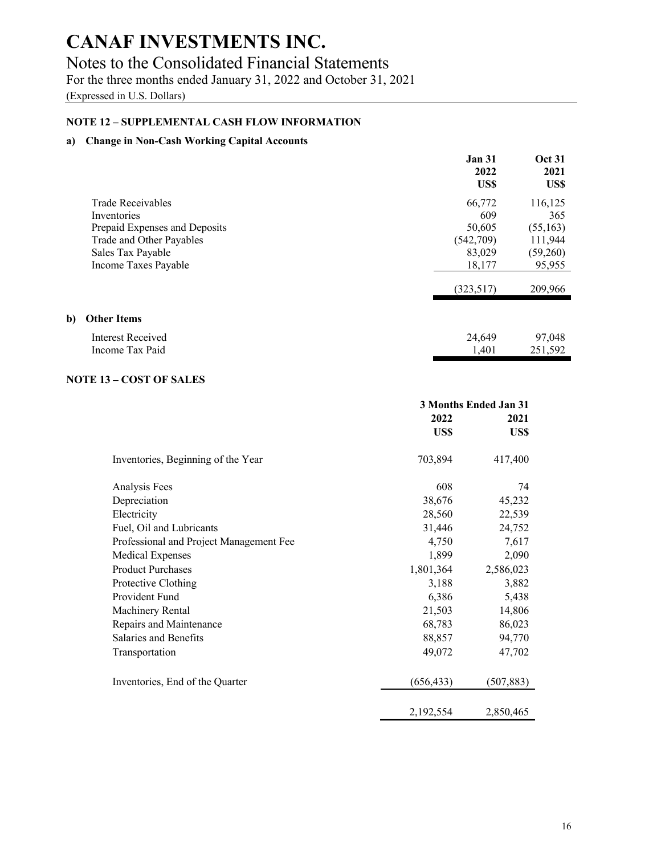### Notes to the Consolidated Financial Statements

For the three months ended January 31, 2022 and October 31, 2021

(Expressed in U.S. Dollars)

#### **NOTE 12 – SUPPLEMENTAL CASH FLOW INFORMATION**

#### **a) Change in Non-Cash Working Capital Accounts**

|                               | <b>Jan 31</b><br>2022 | <b>Oct 31</b><br>2021 |
|-------------------------------|-----------------------|-----------------------|
|                               | US\$                  | US\$                  |
| <b>Trade Receivables</b>      | 66,772                | 116,125               |
| Inventories                   | 609                   | 365                   |
| Prepaid Expenses and Deposits | 50,605                | (55, 163)             |
| Trade and Other Payables      | (542,709)             | 111,944               |
| Sales Tax Payable             | 83,029                | (59,260)              |
| Income Taxes Payable          | 18,177                | 95,955                |
|                               | (323,517)             | 209,966               |
| <b>Other Items</b>            |                       |                       |
| Interest Received             | 24,649                | 97,048                |
| Income Tax Paid               | 1,401                 | 251,592               |

#### **NOTE 13 – COST OF SALES**

**b**)

|                                         | 3 Months Ended Jan 31 |            |  |
|-----------------------------------------|-----------------------|------------|--|
|                                         | 2022                  | 2021       |  |
|                                         | US\$                  | US\$       |  |
| Inventories, Beginning of the Year      | 703,894               | 417,400    |  |
| Analysis Fees                           | 608                   | 74         |  |
| Depreciation                            | 38,676                | 45,232     |  |
| Electricity                             | 28,560                | 22,539     |  |
| Fuel, Oil and Lubricants                | 31,446                | 24,752     |  |
| Professional and Project Management Fee | 4,750                 | 7,617      |  |
| <b>Medical Expenses</b>                 | 1,899                 | 2,090      |  |
| <b>Product Purchases</b>                | 1,801,364             | 2,586,023  |  |
| Protective Clothing                     | 3,188                 | 3,882      |  |
| Provident Fund                          | 6,386                 | 5,438      |  |
| Machinery Rental                        | 21,503                | 14,806     |  |
| Repairs and Maintenance                 | 68,783                | 86,023     |  |
| Salaries and Benefits                   | 88,857                | 94,770     |  |
| Transportation                          | 49,072                | 47,702     |  |
| Inventories, End of the Quarter         | (656, 433)            | (507, 883) |  |
|                                         | 2,192,554             | 2,850,465  |  |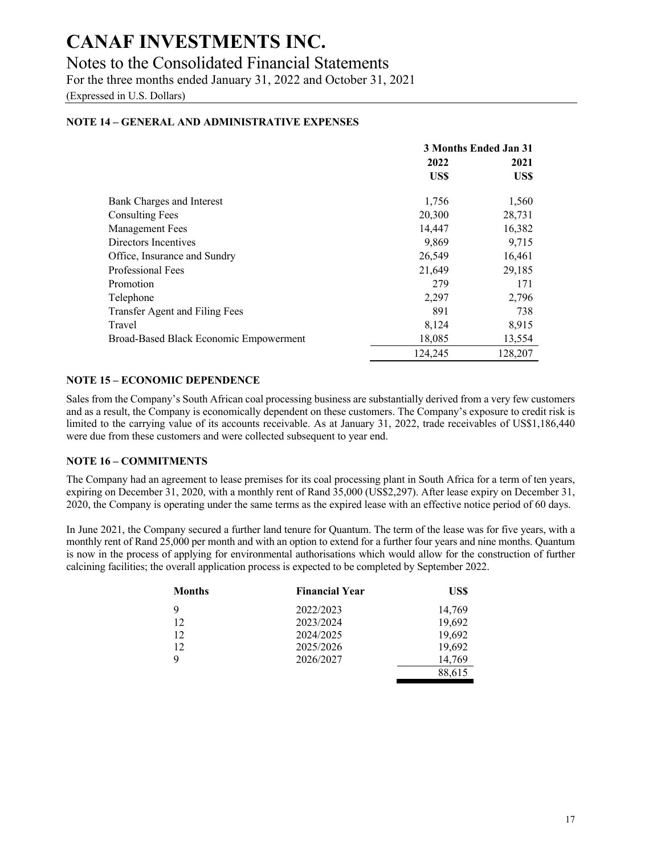### Notes to the Consolidated Financial Statements

For the three months ended January 31, 2022 and October 31, 2021

(Expressed in U.S. Dollars)

#### **NOTE 14 – GENERAL AND ADMINISTRATIVE EXPENSES**

|                                        | 3 Months Ended Jan 31 |         |
|----------------------------------------|-----------------------|---------|
|                                        | 2022                  | 2021    |
|                                        | US\$                  | US\$    |
| Bank Charges and Interest              | 1,756                 | 1,560   |
| <b>Consulting Fees</b>                 | 20,300                | 28,731  |
| Management Fees                        | 14,447                | 16,382  |
| Directors Incentives                   | 9,869                 | 9,715   |
| Office, Insurance and Sundry           | 26,549                | 16,461  |
| Professional Fees                      | 21,649                | 29,185  |
| Promotion                              | 279                   | 171     |
| Telephone                              | 2,297                 | 2,796   |
| Transfer Agent and Filing Fees         | 891                   | 738     |
| Travel                                 | 8,124                 | 8,915   |
| Broad-Based Black Economic Empowerment | 18,085                | 13,554  |
|                                        | 124,245               | 128,207 |

#### **NOTE 15 – ECONOMIC DEPENDENCE**

Sales from the Company's South African coal processing business are substantially derived from a very few customers and as a result, the Company is economically dependent on these customers. The Company's exposure to credit risk is limited to the carrying value of its accounts receivable. As at January 31, 2022, trade receivables of US\$1,186,440 were due from these customers and were collected subsequent to year end.

#### **NOTE 16 – COMMITMENTS**

The Company had an agreement to lease premises for its coal processing plant in South Africa for a term of ten years, expiring on December 31, 2020, with a monthly rent of Rand 35,000 (US\$2,297). After lease expiry on December 31, 2020, the Company is operating under the same terms as the expired lease with an effective notice period of 60 days.

In June 2021, the Company secured a further land tenure for Quantum. The term of the lease was for five years, with a monthly rent of Rand 25,000 per month and with an option to extend for a further four years and nine months. Quantum is now in the process of applying for environmental authorisations which would allow for the construction of further calcining facilities; the overall application process is expected to be completed by September 2022.

| <b>Months</b> | <b>Financial Year</b> | US\$   |
|---------------|-----------------------|--------|
| 9             | 2022/2023             | 14,769 |
| 12            | 2023/2024             | 19,692 |
| 12            | 2024/2025             | 19,692 |
| 12            | 2025/2026             | 19,692 |
| q             | 2026/2027             | 14,769 |
|               |                       | 88,615 |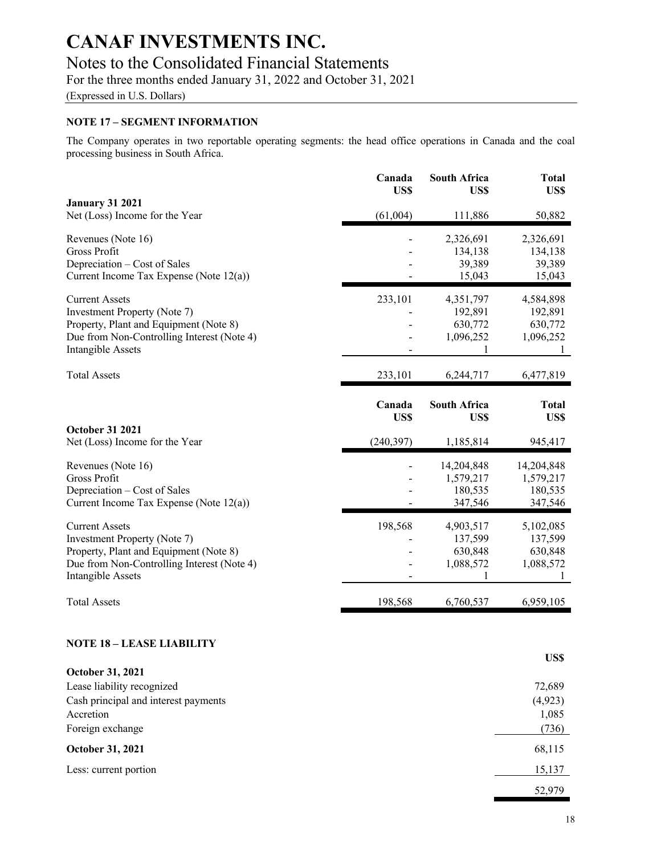### Notes to the Consolidated Financial Statements

For the three months ended January 31, 2022 and October 31, 2021

(Expressed in U.S. Dollars)

#### **NOTE 17 – SEGMENT INFORMATION**

The Company operates in two reportable operating segments: the head office operations in Canada and the coal processing business in South Africa.

|                                                                                      | Canada<br>US\$ | <b>South Africa</b><br>US\$ | <b>Total</b><br>US\$ |
|--------------------------------------------------------------------------------------|----------------|-----------------------------|----------------------|
| <b>January 31 2021</b>                                                               |                |                             |                      |
| Net (Loss) Income for the Year                                                       | (61,004)       | 111,886                     | 50,882               |
| Revenues (Note 16)                                                                   |                | 2,326,691                   | 2,326,691            |
| Gross Profit                                                                         |                | 134,138                     | 134,138              |
| Depreciation – Cost of Sales                                                         |                | 39,389                      | 39,389               |
| Current Income Tax Expense (Note 12(a))                                              |                | 15,043                      | 15,043               |
| <b>Current Assets</b>                                                                | 233,101        | 4,351,797                   | 4,584,898            |
| <b>Investment Property (Note 7)</b>                                                  |                | 192,891                     | 192,891              |
| Property, Plant and Equipment (Note 8)                                               |                | 630,772                     | 630,772              |
| Due from Non-Controlling Interest (Note 4)<br><b>Intangible Assets</b>               |                | 1,096,252<br>1              | 1,096,252<br>1       |
|                                                                                      |                |                             |                      |
| <b>Total Assets</b>                                                                  | 233,101        | 6,244,717                   | 6,477,819            |
|                                                                                      | Canada         | <b>South Africa</b>         | <b>Total</b>         |
|                                                                                      | US\$           | US\$                        | US\$                 |
| <b>October 31 2021</b>                                                               |                |                             |                      |
| Net (Loss) Income for the Year                                                       | (240, 397)     | 1,185,814                   | 945,417              |
| Revenues (Note 16)                                                                   |                | 14,204,848                  | 14,204,848           |
| <b>Gross Profit</b>                                                                  |                | 1,579,217                   | 1,579,217            |
| Depreciation - Cost of Sales<br>Current Income Tax Expense (Note 12(a))              |                | 180,535<br>347,546          | 180,535<br>347,546   |
|                                                                                      |                |                             |                      |
| <b>Current Assets</b>                                                                | 198,568        | 4,903,517                   | 5,102,085            |
| Investment Property (Note 7)                                                         |                | 137,599                     | 137,599              |
| Property, Plant and Equipment (Note 8)<br>Due from Non-Controlling Interest (Note 4) |                | 630,848<br>1,088,572        | 630,848<br>1,088,572 |
| <b>Intangible Assets</b>                                                             |                |                             |                      |
| <b>Total Assets</b>                                                                  | 198,568        | 6,760,537                   | 6,959,105            |
| <b>NOTE 18 – LEASE LIABILITY</b>                                                     |                |                             |                      |
| October 31, 2021                                                                     |                |                             | US\$                 |
| Lease liability recognized                                                           |                |                             | 72,689               |
| Cash principal and interest payments                                                 |                |                             | (4,923)              |
| Accretion                                                                            |                |                             | 1,085                |
| Foreign exchange                                                                     |                |                             | (736)                |
| October 31, 2021                                                                     |                |                             | 68,115               |
| Less: current portion                                                                |                |                             | 15,137               |
|                                                                                      |                |                             |                      |

52,979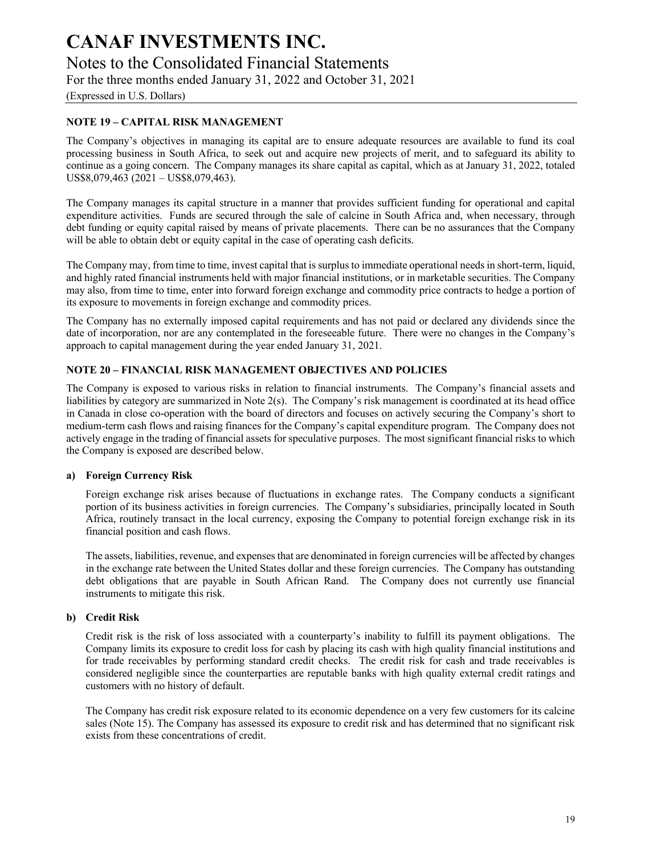Notes to the Consolidated Financial Statements

For the three months ended January 31, 2022 and October 31, 2021

(Expressed in U.S. Dollars)

#### **NOTE 19 – CAPITAL RISK MANAGEMENT**

The Company's objectives in managing its capital are to ensure adequate resources are available to fund its coal processing business in South Africa, to seek out and acquire new projects of merit, and to safeguard its ability to continue as a going concern. The Company manages its share capital as capital, which as at January 31, 2022, totaled US\$8,079,463 (2021 – US\$8,079,463).

The Company manages its capital structure in a manner that provides sufficient funding for operational and capital expenditure activities. Funds are secured through the sale of calcine in South Africa and, when necessary, through debt funding or equity capital raised by means of private placements. There can be no assurances that the Company will be able to obtain debt or equity capital in the case of operating cash deficits.

The Company may, from time to time, invest capital that is surplus to immediate operational needs in short-term, liquid, and highly rated financial instruments held with major financial institutions, or in marketable securities. The Company may also, from time to time, enter into forward foreign exchange and commodity price contracts to hedge a portion of its exposure to movements in foreign exchange and commodity prices.

The Company has no externally imposed capital requirements and has not paid or declared any dividends since the date of incorporation, nor are any contemplated in the foreseeable future. There were no changes in the Company's approach to capital management during the year ended January 31, 2021.

#### **NOTE 20 – FINANCIAL RISK MANAGEMENT OBJECTIVES AND POLICIES**

The Company is exposed to various risks in relation to financial instruments. The Company's financial assets and liabilities by category are summarized in Note 2(s). The Company's risk management is coordinated at its head office in Canada in close co-operation with the board of directors and focuses on actively securing the Company's short to medium-term cash flows and raising finances for the Company's capital expenditure program. The Company does not actively engage in the trading of financial assets for speculative purposes. The most significant financial risks to which the Company is exposed are described below.

#### **a) Foreign Currency Risk**

Foreign exchange risk arises because of fluctuations in exchange rates. The Company conducts a significant portion of its business activities in foreign currencies. The Company's subsidiaries, principally located in South Africa, routinely transact in the local currency, exposing the Company to potential foreign exchange risk in its financial position and cash flows.

The assets, liabilities, revenue, and expenses that are denominated in foreign currencies will be affected by changes in the exchange rate between the United States dollar and these foreign currencies. The Company has outstanding debt obligations that are payable in South African Rand. The Company does not currently use financial instruments to mitigate this risk.

#### **b) Credit Risk**

Credit risk is the risk of loss associated with a counterparty's inability to fulfill its payment obligations. The Company limits its exposure to credit loss for cash by placing its cash with high quality financial institutions and for trade receivables by performing standard credit checks. The credit risk for cash and trade receivables is considered negligible since the counterparties are reputable banks with high quality external credit ratings and customers with no history of default.

The Company has credit risk exposure related to its economic dependence on a very few customers for its calcine sales (Note 15). The Company has assessed its exposure to credit risk and has determined that no significant risk exists from these concentrations of credit.